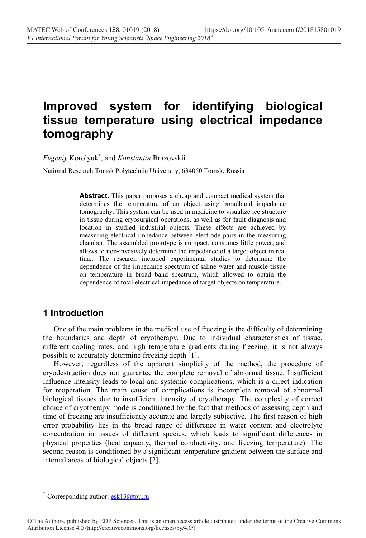# **Improved system for identifying biological tissue temperature using electrical impedance tomography**

*Evgeniy* Korolyuk\* , and *Konstantin* Brazovskii

National Research Tomsk Polytechnic University, 634050 Tomsk, Russia

**Abstract.** This paper proposes a cheap and compact medical system that determines the temperature of an object using broadband impedance tomography. This system can be used in medicine to visualize ice structure in tissue during cryosurgical operations, as well as for fault diagnosis and location in studied industrial objects. These effects are achieved by measuring electrical impedance between electrode pairs in the measuring chamber. The assembled prototype is compact, consumes little power, and allows to non-invasively determine the impedance of a target object in real time. The research included experimental studies to determine the dependence of the impedance spectrum of saline water and muscle tissue on temperature in broad band spectrum, which allowed to obtain the dependence of total electrical impedance of target objects on temperature.

### **1 Introduction**

One of the main problems in the medical use of freezing is the difficulty of determining the boundaries and depth of cryotherapy. Due to individual characteristics of tissue, different cooling rates, and high temperature gradients during freezing, it is not always possible to accurately determine freezing depth [1].

However, regardless of the apparent simplicity of the method, the procedure of cryodestruction does not guarantee the complete removal of abnormal tissue. Insufficient influence intensity leads to local and systemic complications, which is a direct indication for reoperation. The main cause of complications is incomplete removal of abnormal biological tissues due to insufficient intensity of cryotherapy. The complexity of correct choice of cryotherapy mode is conditioned by the fact that methods of assessing depth and time of freezing are insufficiently accurate and largely subjective. The first reason of high error probability lies in the broad range of difference in water content and electrolyte concentration in tissues of different species, which leads to significant differences in physical properties (heat capacity, thermal conductivity, and freezing temperature). The second reason is conditioned by a significant temperature gradient between the surface and internal areas of biological objects [2].

<sup>\*</sup> Corresponding author:  $\frac{e s k 13@$ tpu.ru

<sup>©</sup> The Authors, published by EDP Sciences. This is an open access article distributed under the terms of the Creative Commons Attribution License 4.0 (http://creativecommons.org/licenses/by/4.0/).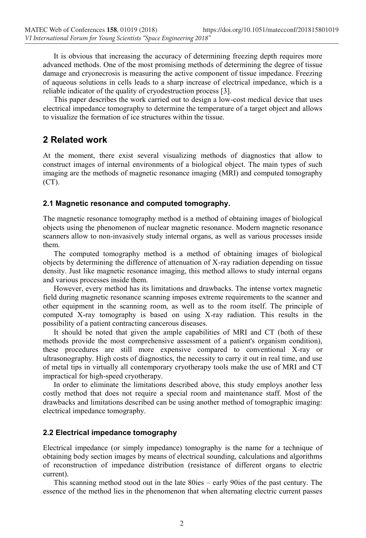It is obvious that increasing the accuracy of determining freezing depth requires more advanced methods. One of the most promising methods of determining the degree of tissue damage and cryonecrosis is measuring the active component of tissue impedance. Freezing of aqueous solutions in cells leads to a sharp increase of electrical impedance, which is a reliable indicator of the quality of cryodestruction process [3].

This paper describes the work carried out to design a low-cost medical device that uses electrical impedance tomography to determine the temperature of a target object and allows to visualize the formation of ice structures within the tissue.

### **2 Related work**

At the moment, there exist several visualizing methods of diagnostics that allow to construct images of internal environments of a biological object. The main types of such imaging are the methods of magnetic resonance imaging (MRI) and computed tomography (CT).

#### **2.1 Magnetic resonance and computed tomography.**

The magnetic resonance tomography method is a method of obtaining images of biological objects using the phenomenon of nuclear magnetic resonance. Modern magnetic resonance scanners allow to non-invasively study internal organs, as well as various processes inside them.

The computed tomography method is a method of obtaining images of biological objects by determining the difference of attenuation of X-ray radiation depending on tissue density. Just like magnetic resonance imaging, this method allows to study internal organs and various processes inside them.

However, every method has its limitations and drawbacks. The intense vortex magnetic field during magnetic resonance scanning imposes extreme requirements to the scanner and other equipment in the scanning room, as well as to the room itself. The principle of computed X-ray tomography is based on using X-ray radiation. This results in the possibility of a patient contracting cancerous diseases.

It should be noted that given the ample capabilities of MRI and CT (both of these methods provide the most comprehensive assessment of a patient's organism condition), these procedures are still more expensive compared to conventional X-ray or ultrasonography. High costs of diagnostics, the necessity to carry it out in real time, and use of metal tips in virtually all contemporary cryotherapy tools make the use of MRI and CT impractical for high-speed cryotherapy.

In order to eliminate the limitations described above, this study employs another less costly method that does not require a special room and maintenance staff. Most of the drawbacks and limitations described can be using another method of tomographic imaging: electrical impedance tomography.

#### **2.2 Electrical impedance tomography**

Electrical impedance (or simply impedance) tomography is the name for a technique of obtaining body section images by means of electrical sounding, calculations and algorithms of reconstruction of impedance distribution (resistance of different organs to electric current).

This scanning method stood out in the late 80ies – early 90ies of the past century. The essence of the method lies in the phenomenon that when alternating electric current passes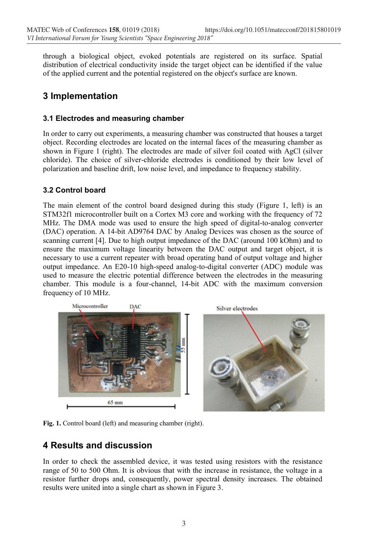through a biological object, evoked potentials are registered on its surface. Spatial

distribution of electrical conductivity inside the target object can be identified if the value of the applied current and the potential registered on the object's surface are known.

# **3 Implementation**

### **3.1 Electrodes and measuring chamber**

In order to carry out experiments, a measuring chamber was constructed that houses a target object. Recording electrodes are located on the internal faces of the measuring chamber as shown in Figure 1 (right). The electrodes are made of silver foil coated with AgCl (silver chloride). The choice of silver-chloride electrodes is conditioned by their low level of polarization and baseline drift, low noise level, and impedance to frequency stability.

### **3.2 Control board**

The main element of the control board designed during this study (Figure 1, left) is an STM32f1 microcontroller built on a Cortex M3 core and working with the frequency of 72 MHz. The DMA mode was used to ensure the high speed of digital-to-analog converter (DAC) operation. A 14-bit AD9764 DAC by Analog Devices was chosen as the source of scanning current [4]. Due to high output impedance of the DAC (around 100 kOhm) and to ensure the maximum voltage linearity between the DAC output and target object, it is necessary to use a current repeater with broad operating band of output voltage and higher output impedance. An E20-10 high-speed analog-to-digital converter (ADC) module was used to measure the electric potential difference between the electrodes in the measuring chamber. This module is a four-channel, 14-bit ADC with the maximum conversion frequency of 10 MHz.





## **4 Results and discussion**

In order to check the assembled device, it was tested using resistors with the resistance range of 50 to 500 Ohm. It is obvious that with the increase in resistance, the voltage in a resistor further drops and, consequently, power spectral density increases. The obtained results were united into a single chart as shown in Figure 3.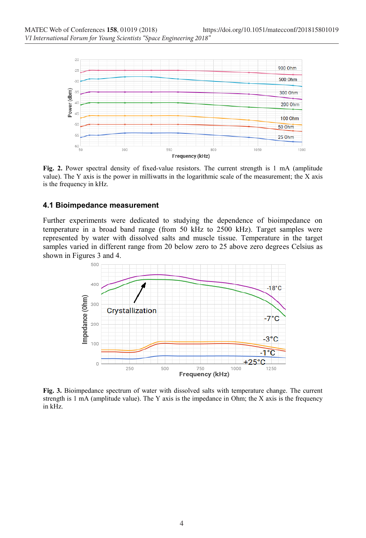

**Fig. 2.** Power spectral density of fixed-value resistors. The current strength is 1 mA (amplitude value). The Y axis is the power in milliwatts in the logarithmic scale of the measurement; the X axis is the frequency in kHz.

#### **4.1 Bioimpedance measurement**

Further experiments were dedicated to studying the dependence of bioimpedance on temperature in a broad band range (from 50 kHz to 2500 kHz). Target samples were represented by water with dissolved salts and muscle tissue. Temperature in the target samples varied in different range from 20 below zero to 25 above zero degrees Celsius as shown in Figures 3 and 4.



**Fig. 3.** Bioimpedance spectrum of water with dissolved salts with temperature change. The current strength is 1 mA (amplitude value). The Y axis is the impedance in Ohm; the X axis is the frequency in kHz.